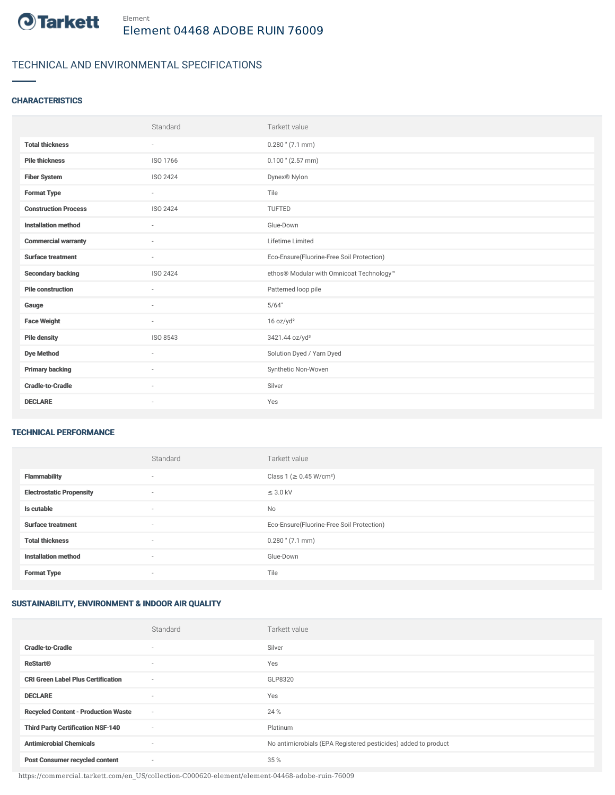

# TECHNICAL AND ENVIRONMENTAL SPECIFICATIONS

### **CHARACTERISTICS**

|                             | Standard                 | Tarkett value                             |
|-----------------------------|--------------------------|-------------------------------------------|
| <b>Total thickness</b>      | $\sim$                   | $0.280$ " (7.1 mm)                        |
| <b>Pile thickness</b>       | ISO 1766                 | $0.100$ " (2.57 mm)                       |
| <b>Fiber System</b>         | ISO 2424                 | Dynex <sup>®</sup> Nylon                  |
| <b>Format Type</b>          | $\sim$                   | Tile                                      |
| <b>Construction Process</b> | ISO 2424                 | <b>TUFTED</b>                             |
| <b>Installation method</b>  | $\overline{\phantom{a}}$ | Glue-Down                                 |
| <b>Commercial warranty</b>  | $\sim$                   | Lifetime Limited                          |
| <b>Surface treatment</b>    | $\sim$                   | Eco-Ensure(Fluorine-Free Soil Protection) |
| <b>Secondary backing</b>    | ISO 2424                 | ethos® Modular with Omnicoat Technology™  |
| <b>Pile construction</b>    |                          | Patterned loop pile                       |
| Gauge                       | $\sim$                   | 5/64"                                     |
| <b>Face Weight</b>          | $\sim$                   | 16 oz/yd <sup>2</sup>                     |
| <b>Pile density</b>         | ISO 8543                 | 3421.44 oz/yd <sup>3</sup>                |
| <b>Dye Method</b>           | $\sim$                   | Solution Dyed / Yarn Dyed                 |
| <b>Primary backing</b>      | $\sim$                   | Synthetic Non-Woven                       |
| <b>Cradle-to-Cradle</b>     | $\overline{\phantom{a}}$ | Silver                                    |
| <b>DECLARE</b>              | $\overline{\phantom{a}}$ | Yes                                       |

#### TECHNICAL PERFORMANCE

|                                 | Standard                 | Tarkett value                             |
|---------------------------------|--------------------------|-------------------------------------------|
| <b>Flammability</b>             | ٠                        | Class 1 (≥ 0.45 W/cm <sup>2</sup> )       |
| <b>Electrostatic Propensity</b> | ٠                        | $\leq$ 3.0 kV                             |
| Is cutable                      | $\sim$                   | No                                        |
| <b>Surface treatment</b>        | $\overline{\phantom{a}}$ | Eco-Ensure(Fluorine-Free Soil Protection) |
| <b>Total thickness</b>          | ٠                        | $0.280$ " $(7.1$ mm)                      |
| <b>Installation method</b>      | $\sim$                   | Glue-Down                                 |
| <b>Format Type</b>              | $\overline{\phantom{a}}$ | Tile                                      |

## SUSTAINABILITY, ENVIRONMENT & INDOOR AIR QUALITY

|                                            | Standard | Tarkett value                                                  |
|--------------------------------------------|----------|----------------------------------------------------------------|
| <b>Cradle-to-Cradle</b>                    | $\sim$   | Silver                                                         |
| <b>ReStart<sup>®</sup></b>                 | $\sim$   | Yes                                                            |
| <b>CRI Green Label Plus Certification</b>  | $\sim$   | GLP8320                                                        |
| <b>DECLARE</b>                             | $\sim$   | Yes                                                            |
| <b>Recycled Content - Production Waste</b> | $\sim$   | 24 %                                                           |
| <b>Third Party Certification NSF-140</b>   | $\sim$   | Platinum                                                       |
| <b>Antimicrobial Chemicals</b>             | $\sim$   | No antimicrobials (EPA Registered pesticides) added to product |
| <b>Post Consumer recycled content</b>      | $\sim$   | 35 %                                                           |

https://commercial.tarkett.com/en\_US/collection-C000620-element/element-04468-adobe-ruin-76009